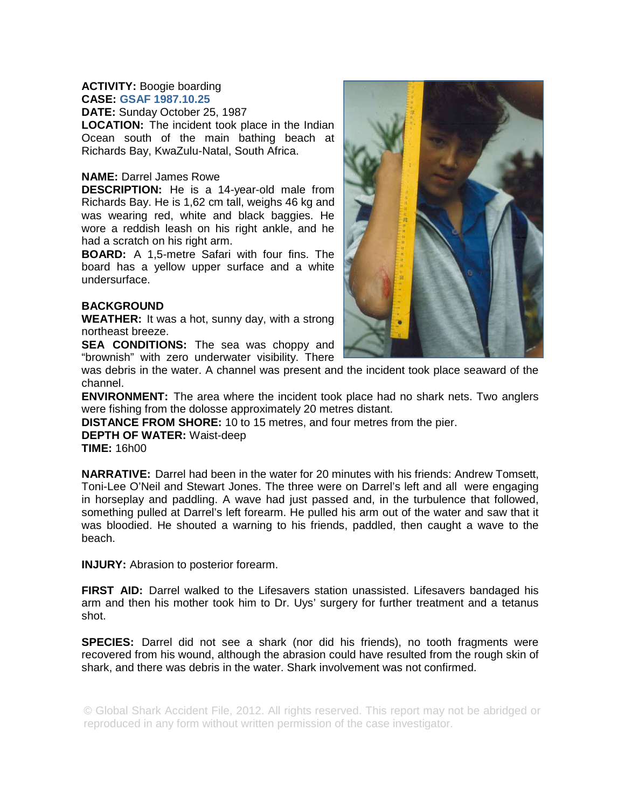## **ACTIVITY:** Boogie boarding **CASE: GSAF 1987.10.25**

**DATE:** Sunday October 25, 1987

**LOCATION:** The incident took place in the Indian Ocean south of the main bathing beach at Richards Bay, KwaZulu-Natal, South Africa.

## **NAME:** Darrel James Rowe

**DESCRIPTION:** He is a 14-year-old male from Richards Bay. He is 1,62 cm tall, weighs 46 kg and was wearing red, white and black baggies. He wore a reddish leash on his right ankle, and he had a scratch on his right arm.

**BOARD:** A 1,5-metre Safari with four fins. The board has a yellow upper surface and a white undersurface.

## **BACKGROUND**

**WEATHER:** It was a hot, sunny day, with a strong northeast breeze.

**SEA CONDITIONS:** The sea was choppy and "brownish" with zero underwater visibility. There

was debris in the water. A channel was present and the incident took place seaward of the channel.

**ENVIRONMENT:** The area where the incident took place had no shark nets. Two anglers were fishing from the dolosse approximately 20 metres distant.

**DISTANCE FROM SHORE:** 10 to 15 metres, and four metres from the pier.

**DEPTH OF WATER:** Waist-deep

**TIME:** 16h00

**NARRATIVE:** Darrel had been in the water for 20 minutes with his friends: Andrew Tomsett, Toni-Lee O'Neil and Stewart Jones. The three were on Darrel's left and all were engaging in horseplay and paddling. A wave had just passed and, in the turbulence that followed, something pulled at Darrel's left forearm. He pulled his arm out of the water and saw that it was bloodied. He shouted a warning to his friends, paddled, then caught a wave to the beach.

**INJURY:** Abrasion to posterior forearm.

**FIRST AID:** Darrel walked to the Lifesavers station unassisted. Lifesavers bandaged his arm and then his mother took him to Dr. Uys' surgery for further treatment and a tetanus shot.

**SPECIES:** Darrel did not see a shark (nor did his friends), no tooth fragments were recovered from his wound, although the abrasion could have resulted from the rough skin of shark, and there was debris in the water. Shark involvement was not confirmed.

© Global Shark Accident File, 2012. All rights reserved. This report may not be abridged or reproduced in any form without written permission of the case investigator.